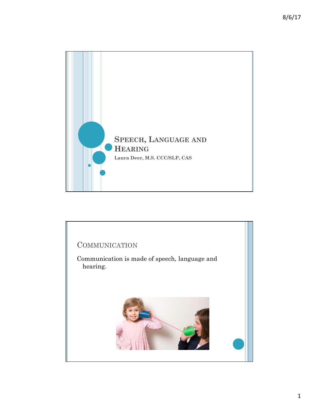

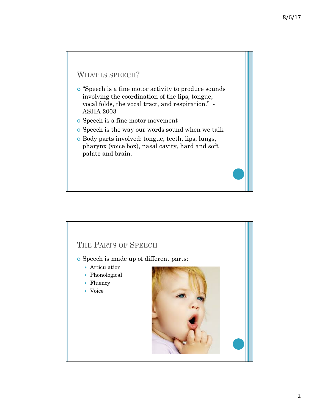# WHAT IS SPEECH?

- ¢ "Speech is a fine motor activity to produce sounds involving the coordination of the lips, tongue, vocal folds, the vocal tract, and respiration." - ASHA 2003
- ¢ Speech is a fine motor movement
- ¢ Speech is the way our words sound when we talk
- ¢ Body parts involved: tongue, teeth, lips, lungs, pharynx (voice box), nasal cavity, hard and soft palate and brain.

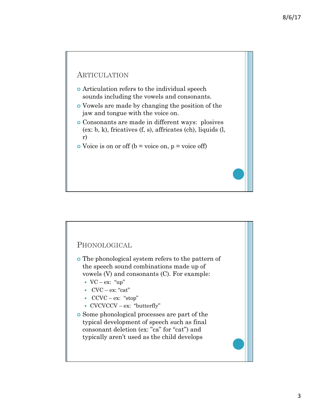### ARTICULATION

- ¢ Articulation refers to the individual speech sounds including the vowels and consonants.
- ¢ Vowels are made by changing the position of the jaw and tongue with the voice on.
- ¢ Consonants are made in different ways: plosives (ex: b, k), fricatives (f, s), affricates (ch), liquids (l, r)
- $\bullet$  Voice is on or off (b = voice on, p = voice off)

### PHONOLOGICAL

- ¢ The phonological system refers to the pattern of the speech sound combinations made up of vowels (V) and consonants (C). For example:
	- $\bullet$  VC ex: "up"
	- $\bullet$  CVC ex: "cat"
	- CCVC ex: "stop"
	- CVCVCCV ex: "butterfly"
- ¢ Some phonological processes are part of the typical development of speech such as final consonant deletion (ex: "ca" for "cat") and typically aren't used as the child develops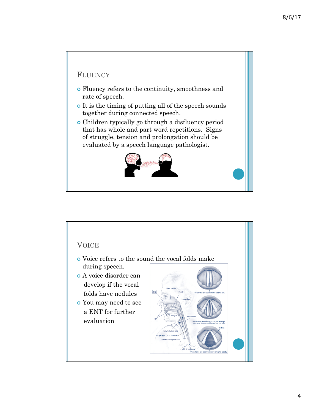## **FLUENCY**

- ¢ Fluency refers to the continuity, smoothness and rate of speech.
- ¢ It is the timing of putting all of the speech sounds together during connected speech.
- ¢ Children typically go through a disfluency period that has whole and part word repetitions. Signs of struggle, tension and prolongation should be evaluated by a speech language pathologist.



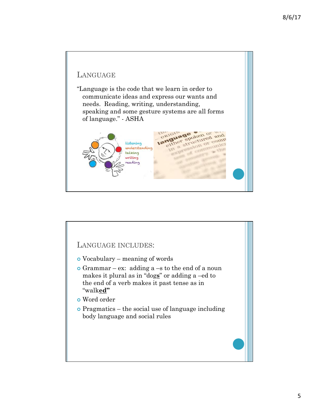

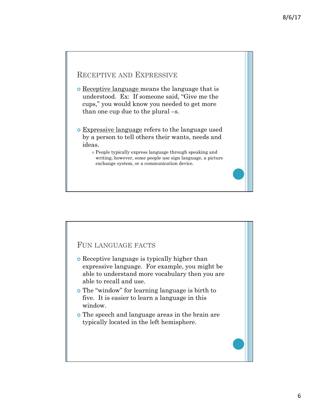## RECEPTIVE AND EXPRESSIVE

- ¢ Receptive language means the language that is understood. Ex: If someone said, "Give me the cups," you would know you needed to get more than one cup due to the plural –s.
- ¢ Expressive language refers to the language used by a person to tell others their wants, needs and ideas.
	- ¢ People typically express language through speaking and writing, however, some people use sign language, a picture exchange system, or a communication device.

### FUN LANGUAGE FACTS

- ¢ Receptive language is typically higher than expressive language. For example, you might be able to understand more vocabulary then you are able to recall and use.
- ¢ The "window" for learning language is birth to five. It is easier to learn a language in this window.
- ¢ The speech and language areas in the brain are typically located in the left hemisphere.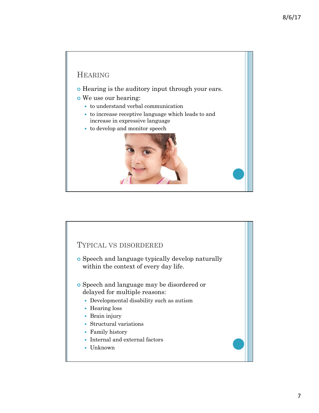